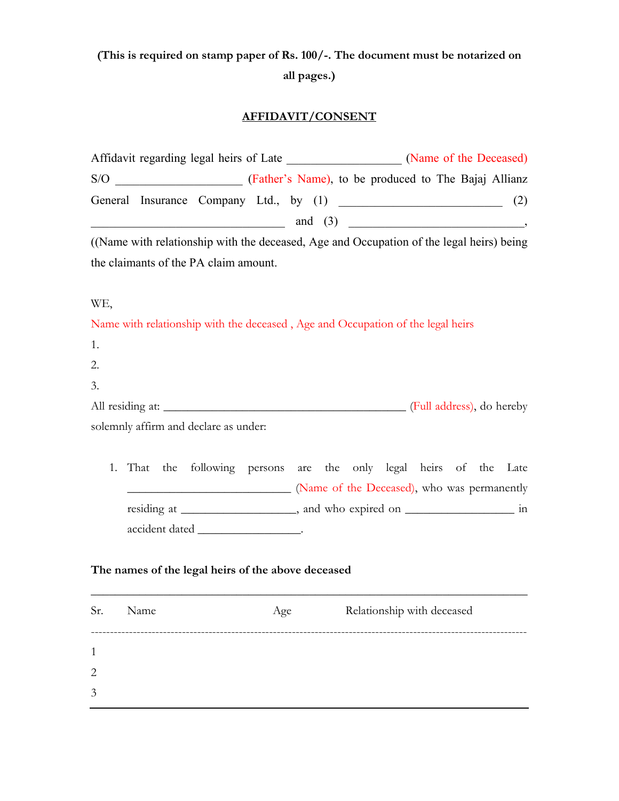## **(This is required on stamp paper of Rs. 100/-. The document must be notarized on all pages.)**

## **AFFIDAVIT/CONSENT**

| Affidavit regarding legal heirs of Late |                                                                                          |  |  |  | (Name of the Deceased) |                                                      |  |  |  |     |
|-----------------------------------------|------------------------------------------------------------------------------------------|--|--|--|------------------------|------------------------------------------------------|--|--|--|-----|
|                                         | S/O                                                                                      |  |  |  |                        | (Father's Name), to be produced to The Bajaj Allianz |  |  |  |     |
|                                         | General Insurance Company Ltd., by (1)                                                   |  |  |  |                        |                                                      |  |  |  | (2) |
|                                         |                                                                                          |  |  |  | and $(3)$              |                                                      |  |  |  |     |
|                                         | ((Name with relationship with the deceased, Age and Occupation of the legal heirs) being |  |  |  |                        |                                                      |  |  |  |     |

the claimants of the PA claim amount.

WE,

Name with relationship with the deceased , Age and Occupation of the legal heirs

| 1. |                         |                                                                    |  |  |                                             |  |  |
|----|-------------------------|--------------------------------------------------------------------|--|--|---------------------------------------------|--|--|
| 2. |                         |                                                                    |  |  |                                             |  |  |
| 3. |                         |                                                                    |  |  |                                             |  |  |
|    | All residing at: $\_\_$ |                                                                    |  |  | (Full address), do hereby                   |  |  |
|    |                         | solemnly affirm and declare as under:                              |  |  |                                             |  |  |
|    |                         |                                                                    |  |  |                                             |  |  |
|    |                         | 1. That the following persons are the only legal heirs of the Late |  |  |                                             |  |  |
|    |                         |                                                                    |  |  | (Name of the Deceased), who was permanently |  |  |

residing at \_\_\_\_\_\_\_\_\_\_\_\_\_\_\_\_, and who expired on \_\_\_\_\_\_\_\_\_\_\_\_\_\_\_\_\_\_\_\_\_ in accident dated \_\_\_\_\_\_\_\_\_\_\_\_\_\_\_\_\_\_\_\_.

## **The names of the legal heirs of the above deceased**

| Sr.          | Name | Age | Relationship with deceased |
|--------------|------|-----|----------------------------|
| $\mathbf{1}$ |      |     |                            |
| 2            |      |     |                            |
| 3            |      |     |                            |

\_\_\_\_\_\_\_\_\_\_\_\_\_\_\_\_\_\_\_\_\_\_\_\_\_\_\_\_\_\_\_\_\_\_\_\_\_\_\_\_\_\_\_\_\_\_\_\_\_\_\_\_\_\_\_\_\_\_\_\_\_\_\_\_\_\_\_\_\_\_\_\_